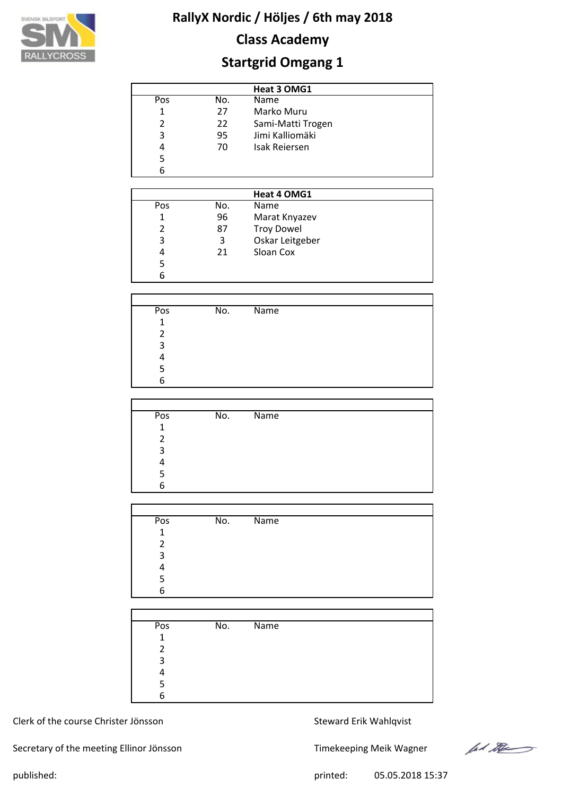

# **Class Academy**

# **Startgrid Omgang 1**

|     | Heat 3 OMG1 |                      |  |  |  |  |  |  |  |
|-----|-------------|----------------------|--|--|--|--|--|--|--|
| Pos | No.         | Name                 |  |  |  |  |  |  |  |
| 1   | 27          | Marko Muru           |  |  |  |  |  |  |  |
| 2   | 22          | Sami-Matti Trogen    |  |  |  |  |  |  |  |
| 3   | 95          | Jimi Kalliomäki      |  |  |  |  |  |  |  |
| 4   | 70          | <b>Isak Reiersen</b> |  |  |  |  |  |  |  |
| 5   |             |                      |  |  |  |  |  |  |  |
| 6   |             |                      |  |  |  |  |  |  |  |

|     |     | Heat 4 OMG1       |  |
|-----|-----|-------------------|--|
| Pos | No. | Name              |  |
| 1   | 96  | Marat Knyazev     |  |
|     | 87  | <b>Troy Dowel</b> |  |
| 3   | 3   | Oskar Leitgeber   |  |
| 4   | 21  | Sloan Cox         |  |
| 5   |     |                   |  |
| 6   |     |                   |  |

| Pos | No. | <b>Name</b> |  |
|-----|-----|-------------|--|
| 1   |     |             |  |
| 2   |     |             |  |
| 3   |     |             |  |
| 4   |     |             |  |
| 5   |     |             |  |
| 6   |     |             |  |

| Pos          | No. | Name |
|--------------|-----|------|
| $\mathbf{1}$ |     |      |
| 2            |     |      |
| 3            |     |      |
| Δ            |     |      |
| 5            |     |      |
| 6            |     |      |

| Pos            | No. | $\overline{\mathsf{Name}}$ |
|----------------|-----|----------------------------|
| $\mathbf{1}$   |     |                            |
| $\mathfrak{p}$ |     |                            |
| 3              |     |                            |
| Λ              |     |                            |
| 5              |     |                            |
| 6              |     |                            |
|                |     |                            |

| Pos          | No. | $\overline{\mathsf{Name}}$ |  |
|--------------|-----|----------------------------|--|
| $\mathbf{1}$ |     |                            |  |
| 2            |     |                            |  |
| 3            |     |                            |  |
|              |     |                            |  |
|              |     |                            |  |
| 6            |     |                            |  |

#### Clerk of the course Christer Jönsson Steward Erik Wahlqvist

Secretary of the meeting Ellinor Jönsson Timekeeping Meik Wagner

let the

published: 05.05.2018 15:37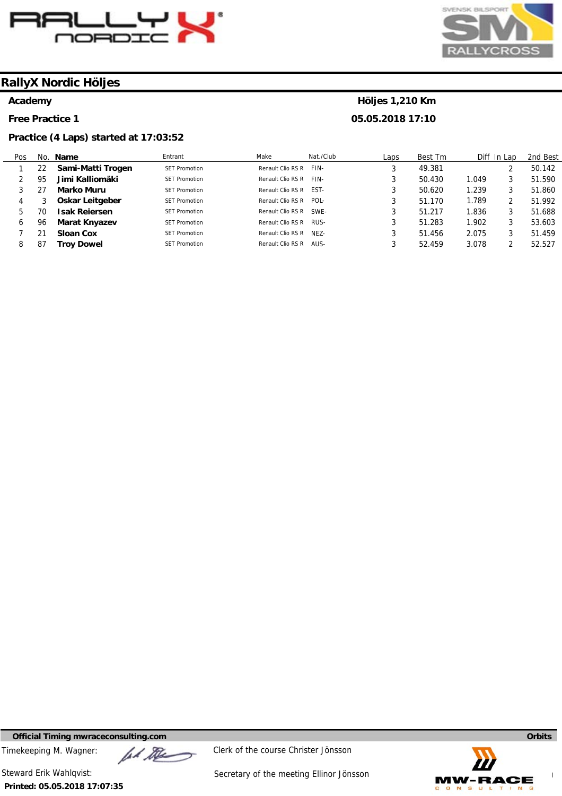

## **RallyX Nordic Höljes**

#### **Academy**

**Free Practice 1** 

#### **Practice (4 Laps) started at 17:03:52**

# SVENSK BILSPORT **CRO**

### **Höljes 1,210 Km 05.05.2018 17:10**

| Pos |    | No. Name             | Entrant              | Make              | Nat./Club   | Laps | Best Tm |       | Diff In Lap | 2nd Best |
|-----|----|----------------------|----------------------|-------------------|-------------|------|---------|-------|-------------|----------|
|     | 22 | Sami-Matti Trogen    | <b>SFT Promotion</b> | Renault Clio RS R | FIN-        | ر    | 49.381  |       |             | 50.142   |
|     | 95 | Jimi Kalliomäki      | <b>SFT Promotion</b> | Renault Clio RS R | FIN-        | 3    | 50.430  | 1.049 |             | 51.590   |
|     |    | Marko Muru           | <b>SFT Promotion</b> | Renault Clio RS R | FST-        | 3    | 50.620  | 1.239 | 3           | 51.860   |
| 4   |    | Oskar Leitgeber      | <b>SFT Promotion</b> | Renault Clio RS R | POL-        | 3    | 51.170  | 1.789 |             | 51.992   |
| b.  | 70 | Isak Reiersen        | <b>SFT Promotion</b> | Renault Clio RS R | SWF-        | 2    | 51.217  | .836  | 3           | 51.688   |
| b   | 96 | <b>Marat Knyazev</b> | <b>SFT Promotion</b> | Renault Clio RS R | RUS-        | 2    | 51.283  | 1.902 | 3           | 53.603   |
|     |    | <b>Sloan Cox</b>     | <b>SFT Promotion</b> | Renault Clio RS R | <b>NF7-</b> | 3    | 51.456  | 2.075 |             | 51.459   |
|     | 87 | Troy Dowel           | <b>SFT Promotion</b> | Renault Clio RS R | AUS-        |      | 52.459  | 3.078 |             | 52.527   |

**Official Timing mwraceconsulting.com Orbits** 

Timekeeping M. Wagner:  $\mathbb{Z}$   $\mathbb{Z}$  Clerk of the course Christer Jönsson

**Printed: 05.05.2018 17:07:35** 

Steward Erik Wahlqvist: Steward Erik Wahlqvist: Secretary of the meeting Ellinor Jönsson

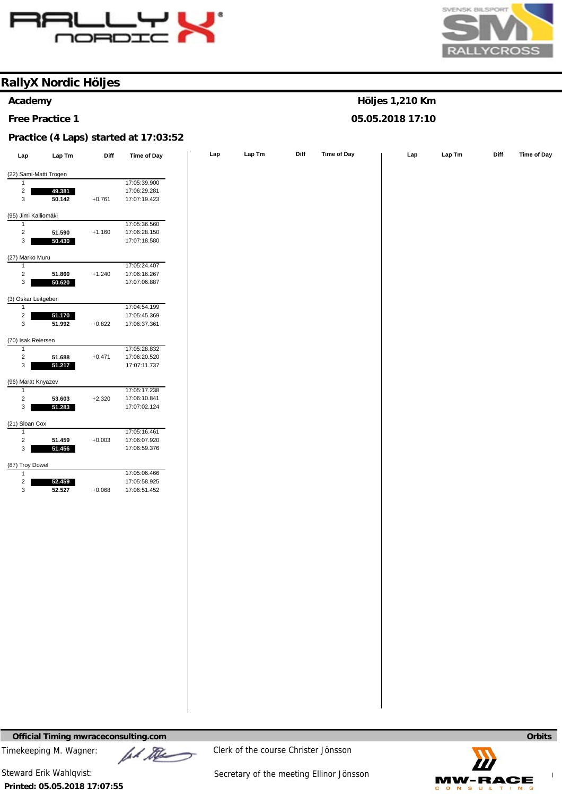



**Höljes 1,210 Km 05.05.2018 17:10** 

## **RallyX Nordic Höljes**

#### **Academy**

**Free Practice 1** 

#### **Practice (4 Laps) started at 17:03:52**

| Lap                                     | Lap Tm                 | Diff     | <b>Time of Day</b>           | Lap | Lap Tm | Diff | <b>Time of Day</b> | Lap | Lap Tm | Diff | Time of Day |
|-----------------------------------------|------------------------|----------|------------------------------|-----|--------|------|--------------------|-----|--------|------|-------------|
|                                         | (22) Sami-Matti Trogen |          |                              |     |        |      |                    |     |        |      |             |
| 1                                       |                        |          | 17:05:39.900                 |     |        |      |                    |     |        |      |             |
| $\overline{a}$                          | 49.381                 |          | 17:06:29.281                 |     |        |      |                    |     |        |      |             |
| $\mathsf 3$                             | 50.142                 | $+0.761$ | 17:07:19.423                 |     |        |      |                    |     |        |      |             |
|                                         |                        |          |                              |     |        |      |                    |     |        |      |             |
| (95) Jimi Kalliomäki                    |                        |          |                              |     |        |      |                    |     |        |      |             |
| $\mathbf{1}$                            |                        |          | 17:05:36.560                 |     |        |      |                    |     |        |      |             |
| $\overline{c}$                          | 51.590                 | $+1.160$ | 17:06:28.150                 |     |        |      |                    |     |        |      |             |
| $\mathbf{3}$                            | 50.430                 |          | 17:07:18.580                 |     |        |      |                    |     |        |      |             |
| (27) Marko Muru                         |                        |          |                              |     |        |      |                    |     |        |      |             |
| $\mathbf{1}$                            |                        |          | 17:05:24.407                 |     |        |      |                    |     |        |      |             |
| $\overline{c}$                          | 51.860                 | $+1.240$ | 17:06:16.267                 |     |        |      |                    |     |        |      |             |
| 3                                       | 50.620                 |          | 17:07:06.887                 |     |        |      |                    |     |        |      |             |
| (3) Oskar Leitgeber                     |                        |          |                              |     |        |      |                    |     |        |      |             |
| -1                                      |                        |          | 17:04:54.199                 |     |        |      |                    |     |        |      |             |
| $\overline{\mathbf{c}}$                 | 51.170                 |          | 17:05:45.369                 |     |        |      |                    |     |        |      |             |
| $\mathsf 3$                             | 51.992                 | $+0.822$ | 17:06:37.361                 |     |        |      |                    |     |        |      |             |
|                                         |                        |          |                              |     |        |      |                    |     |        |      |             |
| (70) Isak Reiersen                      |                        |          |                              |     |        |      |                    |     |        |      |             |
| $\mathbf{1}$<br>$\sqrt{2}$              | 51.688                 | $+0.471$ | 17:05:28.832<br>17:06:20.520 |     |        |      |                    |     |        |      |             |
| $\mathbf{3}$                            | 51.217                 |          | 17:07:11.737                 |     |        |      |                    |     |        |      |             |
|                                         |                        |          |                              |     |        |      |                    |     |        |      |             |
| (96) Marat Knyazev                      |                        |          |                              |     |        |      |                    |     |        |      |             |
| 1                                       |                        |          | 17:05:17.238                 |     |        |      |                    |     |        |      |             |
| $\overline{c}$                          | 53.603                 | $+2.320$ | 17:06:10.841                 |     |        |      |                    |     |        |      |             |
| 3                                       | 51.283                 |          | 17:07:02.124                 |     |        |      |                    |     |        |      |             |
| (21) Sloan Cox                          |                        |          |                              |     |        |      |                    |     |        |      |             |
| $\mathbf{1}$                            |                        |          | 17:05:16.461                 |     |        |      |                    |     |        |      |             |
| $\sqrt{2}$                              | 51.459                 | $+0.003$ | 17:06:07.920                 |     |        |      |                    |     |        |      |             |
| 3                                       | 51.456                 |          | 17:06:59.376                 |     |        |      |                    |     |        |      |             |
|                                         |                        |          |                              |     |        |      |                    |     |        |      |             |
| (87) Troy Dowel                         |                        |          | 17:05:06.466                 |     |        |      |                    |     |        |      |             |
| $\mathbf{1}$<br>$\overline{\mathbf{c}}$ | 52.459                 |          | 17:05:58.925                 |     |        |      |                    |     |        |      |             |
| $\mathsf 3$                             | 52.527                 | $+0.068$ | 17:06:51.452                 |     |        |      |                    |     |        |      |             |
|                                         |                        |          |                              |     |        |      |                    |     |        |      |             |
|                                         |                        |          |                              |     |        |      |                    |     |        |      |             |
|                                         |                        |          |                              |     |        |      |                    |     |        |      |             |
|                                         |                        |          |                              |     |        |      |                    |     |        |      |             |
|                                         |                        |          |                              |     |        |      |                    |     |        |      |             |
|                                         |                        |          |                              |     |        |      |                    |     |        |      |             |
|                                         |                        |          |                              |     |        |      |                    |     |        |      |             |
|                                         |                        |          |                              |     |        |      |                    |     |        |      |             |
|                                         |                        |          |                              |     |        |      |                    |     |        |      |             |
|                                         |                        |          |                              |     |        |      |                    |     |        |      |             |
|                                         |                        |          |                              |     |        |      |                    |     |        |      |             |
|                                         |                        |          |                              |     |        |      |                    |     |        |      |             |
|                                         |                        |          |                              |     |        |      |                    |     |        |      |             |
|                                         |                        |          |                              |     |        |      |                    |     |        |      |             |
|                                         |                        |          |                              |     |        |      |                    |     |        |      |             |
|                                         |                        |          |                              |     |        |      |                    |     |        |      |             |
|                                         |                        |          |                              |     |        |      |                    |     |        |      |             |
|                                         |                        |          |                              |     |        |      |                    |     |        |      |             |
|                                         |                        |          |                              |     |        |      |                    |     |        |      |             |
|                                         |                        |          |                              |     |        |      |                    |     |        |      |             |
|                                         |                        |          |                              |     |        |      |                    |     |        |      |             |
|                                         |                        |          |                              |     |        |      |                    |     |        |      |             |

**Official Timing mwraceconsulting.com Orbits Orbits <b>Orbits Orbits Orbits Orbits Orbits Orbits Orbits** 

Timekeeping M. Wagner:  $\mu$  Music Clerk of the course Christer Jönsson

**Printed: 05.05.2018 17:07:55**  Steward Erik Wahlqvist: Steward Erik Wahlqvist: Secretary of the meeting Ellinor Jönsson

**www.mylaps.com MW-RACE**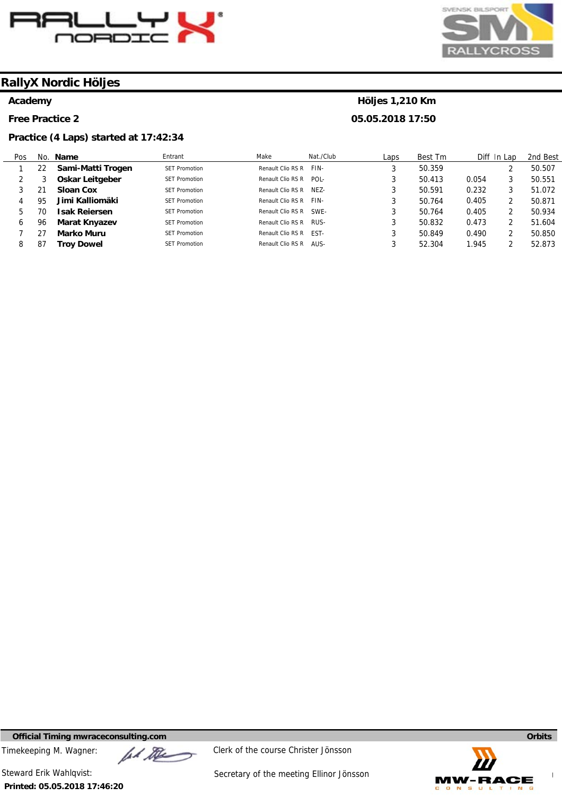

#### **RallyX Nordic Höljes**

#### **Academy**

**Free Practice 2** 

#### **Practice (4 Laps) started at 17:42:34**

# SVENSK BILSPORT  $CBC$

### **Höljes 1,210 Km 05.05.2018 17:50**

Pos 1 2 3 4 5 6 7 8 No. **Name**  22 3 21 95 70 96 27 87 **Sami-Matti Trogen Oskar Leitgeber Sloan Cox Jimi Kalliomäki Isak Reiersen Marat Knyazev Marko Muru Troy Dowel**  Entrant SET Promotion SET Promotion SET Promotion SET Promotion SET Promotion SET Promotion SET Promotion SET Promotion Make Renault Clio RS R Renault Clio RS R POL-Renault Clio RS R NEZ-Renault Clio RS R FIN-Renault Clio RS R SWE-Renault Clio RS R RUS-Renault Clio RS R EST-Renault Clio RS R AUS-Nat./Club FIN-Laps 3 3 3 3 3 3 3 3 Best Tm 50.359 50.413 50.591 50.764 50.764 50.832 50.849 52.304 Diff In Lap 0.054 0.232 0.405 0.405 0.473 0.490 1.945 2 3 3 2 2 2 2 2 2nd Best 50.507 50.551 51.072 50.871 50.934 51.604 50.850 52.873

**Official Timing mwraceconsulting.com Orbits Orbits Orbits Orbits Orbits Orbits** 

Timekeeping M. Wagner:  $\mu$  Music Clerk of the course Christer Jönsson

**Printed: 05.05.2018 17:46:20** 

Steward Erik Wahlqvist: Steward Erik Wahlqvist: Secretary of the meeting Ellinor Jönsson

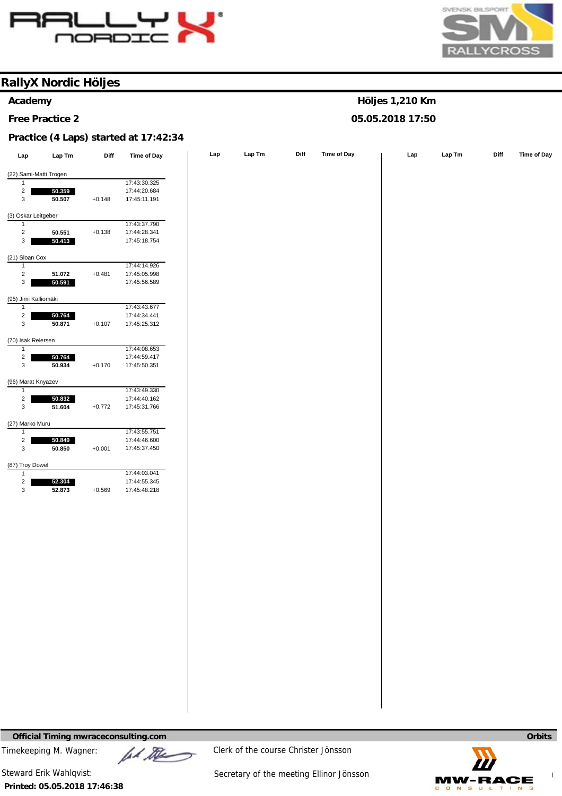



**Höljes 1,210 Km 05.05.2018 17:50** 

## **RallyX Nordic Höljes**

#### **Academy**

**Free Practice 2** 

#### **Practice (4 Laps) started at 17:42:34**

| Lap                          | Lap Tm           | Diff     | <b>Time of Day</b>           | Lap | Lap Tm | Diff | Time of Day | Lap | Lap Tm | Diff | Time of Day |
|------------------------------|------------------|----------|------------------------------|-----|--------|------|-------------|-----|--------|------|-------------|
| (22) Sami-Matti Trogen       |                  |          |                              |     |        |      |             |     |        |      |             |
| $\mathbf{1}$                 |                  |          | 17:43:30.325                 |     |        |      |             |     |        |      |             |
| $\overline{a}$               | 50.359           |          | 17:44:20.684                 |     |        |      |             |     |        |      |             |
| 3                            | 50.507           | $+0.148$ | 17:45:11.191                 |     |        |      |             |     |        |      |             |
| (3) Oskar Leitgeber          |                  |          |                              |     |        |      |             |     |        |      |             |
| $\mathbf{1}$                 |                  |          | 17:43:37.790                 |     |        |      |             |     |        |      |             |
| $\overline{\mathbf{c}}$      | 50.551           | $+0.138$ | 17:44:28.341                 |     |        |      |             |     |        |      |             |
| $\mathbf{3}$                 | 50.413           |          | 17:45:18.754                 |     |        |      |             |     |        |      |             |
| (21) Sloan Cox               |                  |          |                              |     |        |      |             |     |        |      |             |
| $\overline{1}$               |                  |          | 17:44:14.926                 |     |        |      |             |     |        |      |             |
| $\overline{2}$               | 51.072           | $+0.481$ | 17:45:05.998                 |     |        |      |             |     |        |      |             |
| $\mathsf 3$                  | 50.591           |          | 17:45:56.589                 |     |        |      |             |     |        |      |             |
| (95) Jimi Kalliomäki         |                  |          |                              |     |        |      |             |     |        |      |             |
| $\mathbf{1}$                 |                  |          | 17:43:43.677                 |     |        |      |             |     |        |      |             |
| $\overline{a}$               | 50.764           |          | 17:44:34.441                 |     |        |      |             |     |        |      |             |
| 3                            | 50.871           | $+0.107$ | 17:45:25.312                 |     |        |      |             |     |        |      |             |
| (70) Isak Reiersen           |                  |          |                              |     |        |      |             |     |        |      |             |
| $\mathbf{1}$                 |                  |          | 17:44:08.653                 |     |        |      |             |     |        |      |             |
| $\overline{\mathbf{c}}$      | 50.764           |          | 17:44:59.417                 |     |        |      |             |     |        |      |             |
| $\mathbf{3}$                 | 50.934           | $+0.170$ | 17:45:50.351                 |     |        |      |             |     |        |      |             |
| (96) Marat Knyazev           |                  |          |                              |     |        |      |             |     |        |      |             |
| 1                            |                  |          | 17:43:49.330                 |     |        |      |             |     |        |      |             |
| $\overline{a}$               | 50.832           |          | 17:44:40.162                 |     |        |      |             |     |        |      |             |
| $\mathbf{3}$                 | 51.604           | $+0.772$ | 17:45:31.766                 |     |        |      |             |     |        |      |             |
| (27) Marko Muru              |                  |          |                              |     |        |      |             |     |        |      |             |
| $\mathbf{1}$                 |                  |          | 17:43:55.751                 |     |        |      |             |     |        |      |             |
| $\overline{a}$<br>3          | 50.849<br>50.850 | $+0.001$ | 17:44:46.600<br>17:45:37.450 |     |        |      |             |     |        |      |             |
|                              |                  |          |                              |     |        |      |             |     |        |      |             |
| (87) Troy Dowel              |                  |          |                              |     |        |      |             |     |        |      |             |
| $\mathbf{1}$                 |                  |          | 17:44:03.041                 |     |        |      |             |     |        |      |             |
| $\overline{\mathbf{c}}$<br>3 | 52.304           | $+0.569$ | 17:44:55.345<br>17:45:48.218 |     |        |      |             |     |        |      |             |
|                              | 52.873           |          |                              |     |        |      |             |     |        |      |             |
|                              |                  |          |                              |     |        |      |             |     |        |      |             |
|                              |                  |          |                              |     |        |      |             |     |        |      |             |
|                              |                  |          |                              |     |        |      |             |     |        |      |             |
|                              |                  |          |                              |     |        |      |             |     |        |      |             |
|                              |                  |          |                              |     |        |      |             |     |        |      |             |
|                              |                  |          |                              |     |        |      |             |     |        |      |             |
|                              |                  |          |                              |     |        |      |             |     |        |      |             |
|                              |                  |          |                              |     |        |      |             |     |        |      |             |
|                              |                  |          |                              |     |        |      |             |     |        |      |             |
|                              |                  |          |                              |     |        |      |             |     |        |      |             |
|                              |                  |          |                              |     |        |      |             |     |        |      |             |
|                              |                  |          |                              |     |        |      |             |     |        |      |             |
|                              |                  |          |                              |     |        |      |             |     |        |      |             |
|                              |                  |          |                              |     |        |      |             |     |        |      |             |
|                              |                  |          |                              |     |        |      |             |     |        |      |             |
|                              |                  |          |                              |     |        |      |             |     |        |      |             |
|                              |                  |          |                              |     |        |      |             |     |        |      |             |
|                              |                  |          |                              |     |        |      |             |     |        |      |             |
|                              |                  |          |                              |     |        |      |             |     |        |      |             |

**Official Timing mwraceconsulting.com Orbits Orbits Orbits Orbits Orbits Orbits** 

Timekeeping M. Wagner:  $\mu$  Music Clerk of the course Christer Jönsson

**Printed: 05.05.2018 17:46:38** 

Steward Erik Wahlqvist: Steward Erik Wahlqvist: Secretary of the meeting Ellinor Jönsson

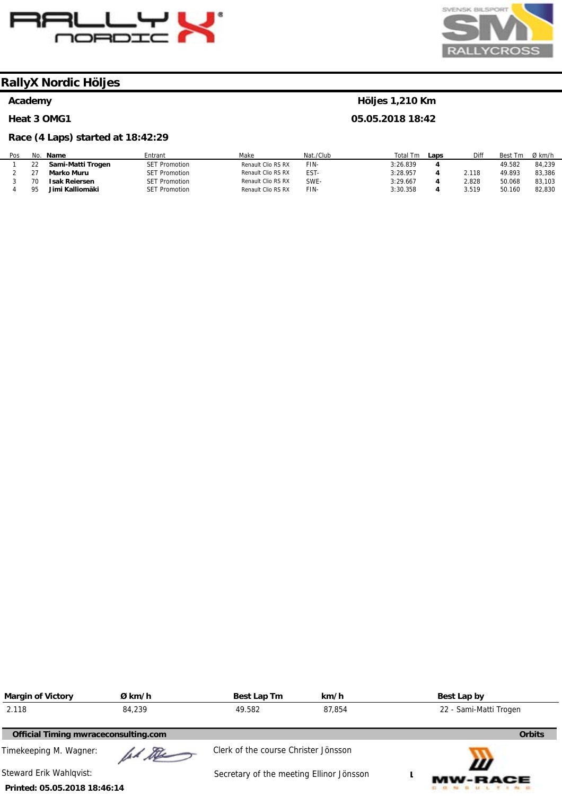



**Höljes 1,210 Km 05.05.2018 18:42** 

## **RallyX Nordic Höljes**

#### **Academy**

#### **Heat 3 OMG1**

#### **Race (4 Laps) started at 18:42:29**

| Pos | No. | Name                 | Entrant              | Make               | Nat./Club | Total Tm | Laps | Diff  | <b>Best</b><br>1 <sub>m</sub> | Ø km/h |
|-----|-----|----------------------|----------------------|--------------------|-----------|----------|------|-------|-------------------------------|--------|
|     |     | Sami-Matti Trogen    | <b>SET Promotion</b> | Renault Clio RS RX | FIN-      | 3:26.839 |      |       | 49.582                        | 84.239 |
|     |     | Marko Muru           | <b>SET Promotion</b> | Renault Clio RS RX | EST-      | 3:28.957 |      | 2.118 | 49.893                        | 83,386 |
|     | 70  | <b>Isak Reiersen</b> | <b>SET Promotion</b> | Renault Clio RS RX | SWE-      | 3:29.667 |      | 2.828 | 50.068                        | 83.103 |
|     | ᅈ   | Jimi Kalliomäki      | <b>SET Promotion</b> | Renault Clio RS RX | FIN-      | 3:30.358 |      | 3.519 | 50.160                        | 82.830 |

| <b>Margin of Victory</b>             | Ø km/h | Best Lap Tm                              | km/h   | Best Lap by            |
|--------------------------------------|--------|------------------------------------------|--------|------------------------|
| 2.118                                | 84,239 | 49.582                                   | 87.854 | 22 - Sami-Matti Trogen |
| Official Timing mwraceconsulting.com |        |                                          |        | <b>Orbits</b>          |
| Timekeeping M. Wagner:               | ad the | Clerk of the course Christer Jönsson     |        |                        |
| Steward Erik Wahlgvist:              |        | Secretary of the meeting Ellinor Jönsson |        | Ш<br><b>MW-RACE</b>    |
| Printed: 05.05.2018 18:46:14         |        |                                          |        |                        |

#### **Printed: 05.05.2018 18:46:14**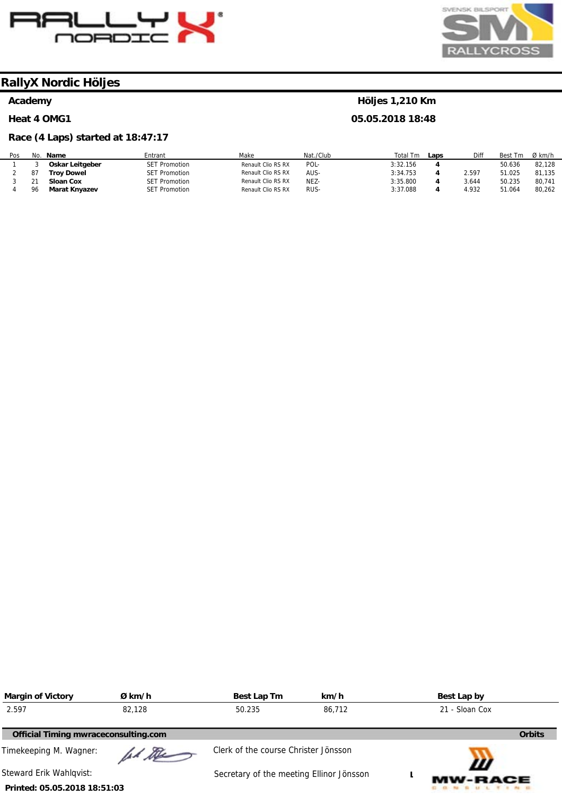



## **RallyX Nordic Höljes**

#### **Academy**

#### **Heat 4 OMG1**

#### **Race (4 Laps) started at 18:47:17**

| Pos | No. | <b>Name</b>       | Entrant              | Make               | Nat./Club | Total Tm | Laps | Diff  | <b>Best</b><br>1 <sub>m</sub> | Ø km/h |
|-----|-----|-------------------|----------------------|--------------------|-----------|----------|------|-------|-------------------------------|--------|
|     |     | Oskar Leitgeber   | <b>SET Promotion</b> | Renault Clio RS RX | POL-      | 3:32.156 |      |       | 50.636                        | 82.128 |
|     | 87  | <b>Trov Dowel</b> | <b>SET Promotion</b> | Renault Clio RS RX | AUS-      | 3:34.753 |      | 2.597 | 51.025                        | 81.135 |
|     |     | Sloan Cox         | <b>SET Promotion</b> | Renault Clio RS RX | NEZ-      | 3:35.800 |      | 3.644 | 50.235                        | 80,741 |
|     | 96  | Marat Knyazev     | <b>SET Promotion</b> | Renault Clio RS RX | RUS-      | 3:37.088 |      | 4.932 | 51.064                        | 80.262 |

| <b>Margin of Victory</b>             | Ø km/h                     | Best Lap Tm                              | km/h |                | Best Lap by         |
|--------------------------------------|----------------------------|------------------------------------------|------|----------------|---------------------|
| 2.597                                | 82,128<br>86.712<br>50.235 |                                          |      | 21 - Sloan Cox |                     |
| Official Timing mwraceconsulting.com |                            |                                          |      |                | <b>Orbits</b>       |
| Timekeeping M. Wagner:               | ad the                     | Clerk of the course Christer Jönsson     |      |                |                     |
| Steward Erik Wahlqvist:              |                            | Secretary of the meeting Ellinor Jönsson |      |                | Ш<br><b>MW-RACE</b> |
| Printed: 05.05.2018 18:51:03         |                            |                                          |      |                |                     |

#### **Höljes 1,210 Km**

**05.05.2018 18:48**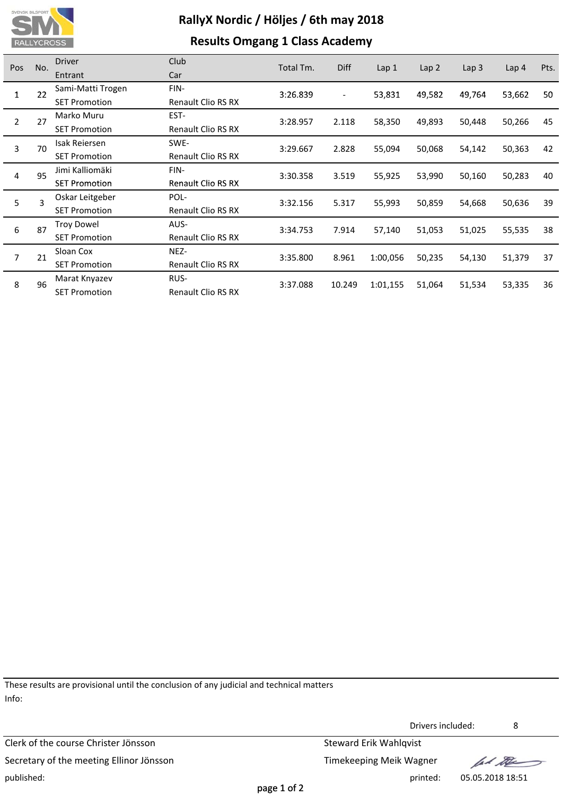

## **Results Omgang 1 Class Academy**

| Pos            | No.     | <b>Driver</b>        | Club                      | Total Tm. | <b>Diff</b>              | Lap <sub>1</sub> |                  |                  | Lap <sub>4</sub> | Pts. |
|----------------|---------|----------------------|---------------------------|-----------|--------------------------|------------------|------------------|------------------|------------------|------|
|                |         | Entrant              | Car                       |           |                          |                  | Lap <sub>2</sub> | Lap <sub>3</sub> |                  |      |
| 1              | 22      | Sami-Matti Trogen    | FIN-                      | 3:26.839  | $\overline{\phantom{a}}$ | 53,831           | 49,582           | 49,764           | 53,662           | 50   |
|                |         | <b>SET Promotion</b> | <b>Renault Clio RS RX</b> |           |                          |                  |                  |                  |                  |      |
| $\overline{2}$ | 27      | Marko Muru           | EST-                      | 3:28.957  | 2.118                    | 58,350           | 49,893           | 50,448           | 50,266           | 45   |
|                |         | <b>SET Promotion</b> | <b>Renault Clio RS RX</b> |           |                          |                  |                  |                  |                  |      |
| 3              | 70      | Isak Reiersen        | SWE-                      | 3:29.667  | 2.828                    | 55,094           | 50,068           | 54,142           | 50,363           | 42   |
|                |         | <b>SET Promotion</b> | Renault Clio RS RX        |           |                          |                  |                  |                  |                  |      |
|                | 95<br>4 | Jimi Kalliomäki      | FIN-                      | 3:30.358  | 3.519                    | 55,925           | 53,990           | 50,160           | 50,283           | 40   |
|                |         | <b>SET Promotion</b> | <b>Renault Clio RS RX</b> |           |                          |                  |                  |                  |                  |      |
| 5              | 3       | Oskar Leitgeber      | POL-                      | 3:32.156  | 5.317                    | 55,993           | 50,859           | 54,668           | 50,636           | 39   |
|                |         | <b>SET Promotion</b> | Renault Clio RS RX        |           |                          |                  |                  |                  |                  |      |
| 6              | 87      | <b>Troy Dowel</b>    | AUS-                      | 3:34.753  | 7.914                    | 57,140           | 51,053           | 51,025           | 55,535           | 38   |
|                |         | <b>SET Promotion</b> | <b>Renault Clio RS RX</b> |           |                          |                  |                  |                  |                  |      |
| $\overline{7}$ | 21      | Sloan Cox            | NEZ-                      | 3:35.800  | 8.961                    | 1:00,056         | 50,235           | 54,130           | 51,379           | 37   |
|                |         | <b>SET Promotion</b> | <b>Renault Clio RS RX</b> |           |                          |                  |                  |                  |                  |      |
|                | 96      | Marat Knyazev        | RUS-                      | 3:37.088  | 10.249                   |                  | 51,064           | 51,534           |                  | 36   |
|                | 8       | <b>SET Promotion</b> | <b>Renault Clio RS RX</b> |           |                          | 1:01,155         |                  |                  | 53,335           |      |

These results are provisional until the conclusion of any judicial and technical matters Info:

Clerk of the course Christer Jönsson Steward Erik Wahlqvist Secretary of the meeting Ellinor Jönsson Secretary of the meeting Ellinor Jönsson published: printed: 05.05.2018 18:51

Drivers included: 8

fal the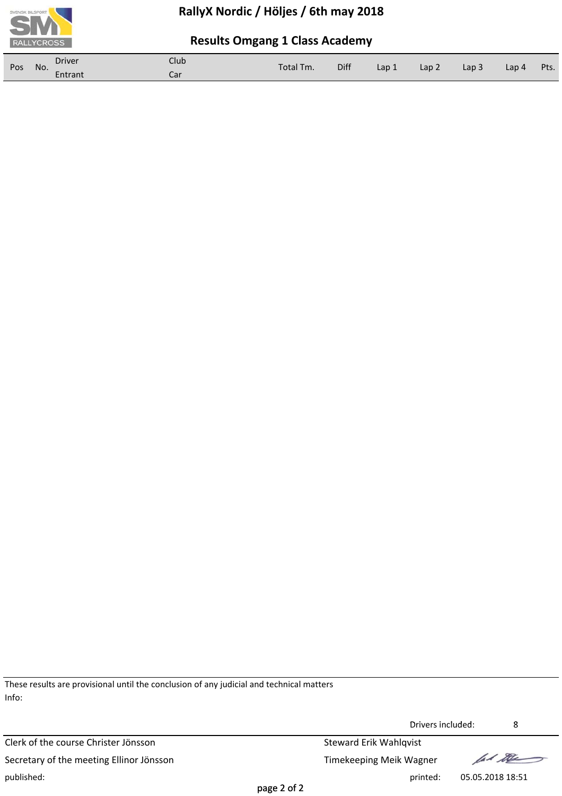

## **Results Omgang 1 Class Academy**

| Pos | No. | <b>Driver</b> | <b>Club</b> | Total Tm. | Diff |       | Lap <sub>2</sub> | Lap 3 | Lap 4 | Pts. |
|-----|-----|---------------|-------------|-----------|------|-------|------------------|-------|-------|------|
|     |     | Entrant       | Car         |           |      | Lap 1 |                  |       |       |      |

These results are provisional until the conclusion of any judicial and technical matters Info:

Clerk of the course Christer Jönsson Steward Erik Wahlqvist Secretary of the meeting Ellinor Jönsson Secretary of the meeting Ellinor Jönsson published: printed: 05.05.2018 18:51

Drivers included: 8

lad the

page 2 of 2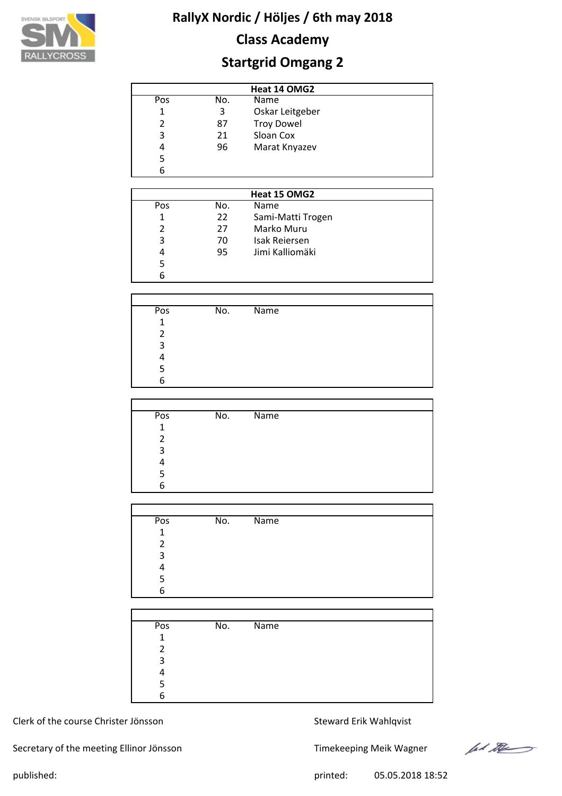

# **Class Academy**

# **Startgrid Omgang 2**

| Heat 14 OMG2  |     |                   |  |  |  |  |
|---------------|-----|-------------------|--|--|--|--|
| Pos           | No. | <b>Name</b>       |  |  |  |  |
| 1             | 3   | Oskar Leitgeber   |  |  |  |  |
| $\mathcal{P}$ | 87  | <b>Troy Dowel</b> |  |  |  |  |
| 3             | 21  | Sloan Cox         |  |  |  |  |
| 4             | 96  | Marat Knyazev     |  |  |  |  |
| 5             |     |                   |  |  |  |  |
| 6             |     |                   |  |  |  |  |

|               |     | Heat 15 OMG2      |  |
|---------------|-----|-------------------|--|
| Pos           | No. | <b>Name</b>       |  |
|               | 22  | Sami-Matti Trogen |  |
| $\mathcal{P}$ | 27  | Marko Muru        |  |
| 3             | 70  | Isak Reiersen     |  |
| 4             | 95  | Jimi Kalliomäki   |  |
| 5             |     |                   |  |
| 6             |     |                   |  |

| Pos | No. | <b>Name</b> |  |
|-----|-----|-------------|--|
| 1   |     |             |  |
|     |     |             |  |
| ς   |     |             |  |
|     |     |             |  |
|     |     |             |  |
|     |     |             |  |

| Pos | No. | Name |
|-----|-----|------|
| 1   |     |      |
| 2   |     |      |
| 3   |     |      |
|     |     |      |
| 5   |     |      |
| 6   |     |      |

| Pos            | No. | Name |
|----------------|-----|------|
| 1              |     |      |
| $\mathfrak{p}$ |     |      |
| 3              |     |      |
| Λ              |     |      |
| 5              |     |      |
| 6              |     |      |
|                |     |      |

| Pos          | No. | Name |  |
|--------------|-----|------|--|
| $\mathbf{1}$ |     |      |  |
| 2            |     |      |  |
| 3            |     |      |  |
|              |     |      |  |
|              |     |      |  |
| 6            |     |      |  |

#### Clerk of the course Christer Jönsson Steward Erik Wahlqvist

Secretary of the meeting Ellinor Jönsson Timekeeping Meik Wagner

let the

published: 05.05.2018 18:52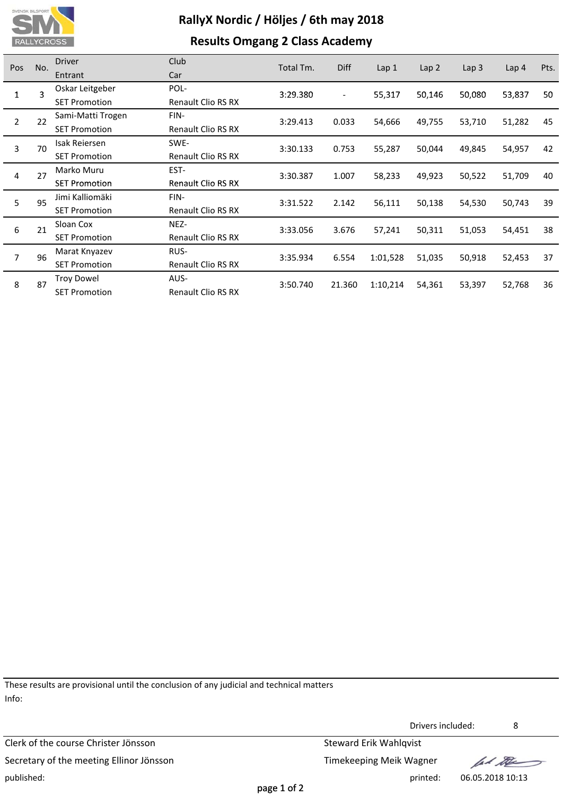

## **Results Omgang 2 Class Academy**

| Pos            | No.     | <b>Driver</b>        | Club                      | Total Tm. | <b>Diff</b>              |                  |                  |                  |                  | Pts. |
|----------------|---------|----------------------|---------------------------|-----------|--------------------------|------------------|------------------|------------------|------------------|------|
|                |         | Entrant              | Car                       |           |                          | Lap <sub>1</sub> | Lap <sub>2</sub> | Lap <sub>3</sub> | Lap <sub>4</sub> |      |
| 1              | 3       | Oskar Leitgeber      | POL-                      | 3:29.380  | $\overline{\phantom{a}}$ | 55,317           | 50,146           | 50,080           | 53,837           | 50   |
|                |         | <b>SET Promotion</b> | <b>Renault Clio RS RX</b> |           |                          |                  |                  |                  |                  |      |
| $\overline{2}$ | 22      | Sami-Matti Trogen    | FIN-                      | 3:29.413  | 0.033                    | 54,666           | 49,755           | 53,710           | 51,282           | 45   |
|                |         | <b>SET Promotion</b> | Renault Clio RS RX        |           |                          |                  |                  |                  |                  |      |
| 3              | 70      | Isak Reiersen        | SWE-                      | 3:30.133  | 0.753                    | 55,287           | 50,044           | 49,845           | 54,957           | 42   |
|                |         | <b>SET Promotion</b> | Renault Clio RS RX        |           |                          |                  |                  |                  |                  |      |
|                | 27<br>4 | Marko Muru           | EST-                      | 3:30.387  | 1.007                    | 58,233           | 49,923           | 50,522           | 51,709           | 40   |
|                |         | <b>SET Promotion</b> | <b>Renault Clio RS RX</b> |           |                          |                  |                  |                  |                  |      |
| 5              | 95      | Jimi Kalliomäki      | FIN-                      | 3:31.522  | 2.142                    | 56,111           | 50,138           | 54,530           | 50,743           | 39   |
|                |         | <b>SET Promotion</b> | Renault Clio RS RX        |           |                          |                  |                  |                  |                  |      |
| 6              | 21      | Sloan Cox            | NEZ-                      | 3:33.056  | 3.676                    | 57,241           | 50,311           | 51,053           | 54,451           | 38   |
|                |         | <b>SET Promotion</b> | <b>Renault Clio RS RX</b> |           |                          |                  |                  |                  |                  |      |
| $\overline{7}$ | 96      | Marat Knyazev        | RUS-                      | 3:35.934  | 6.554                    | 1:01,528         | 51,035           | 50,918           | 52,453           | 37   |
|                |         | <b>SET Promotion</b> | Renault Clio RS RX        |           |                          |                  |                  |                  |                  |      |
|                | 87      | <b>Troy Dowel</b>    | AUS-                      |           | 21.360                   | 1:10,214         | 54,361           | 53,397           |                  | 36   |
|                | 8       | <b>SET Promotion</b> | <b>Renault Clio RS RX</b> | 3:50.740  |                          |                  |                  |                  | 52,768           |      |

These results are provisional until the conclusion of any judicial and technical matters Info:

Clerk of the course Christer Jönsson Steward Erik Wahlqvist Secretary of the meeting Ellinor Jönsson Secretary of the meeting Ellinor Jönsson published: printed: 06.05.2018 10:13

Drivers included: 8

lad the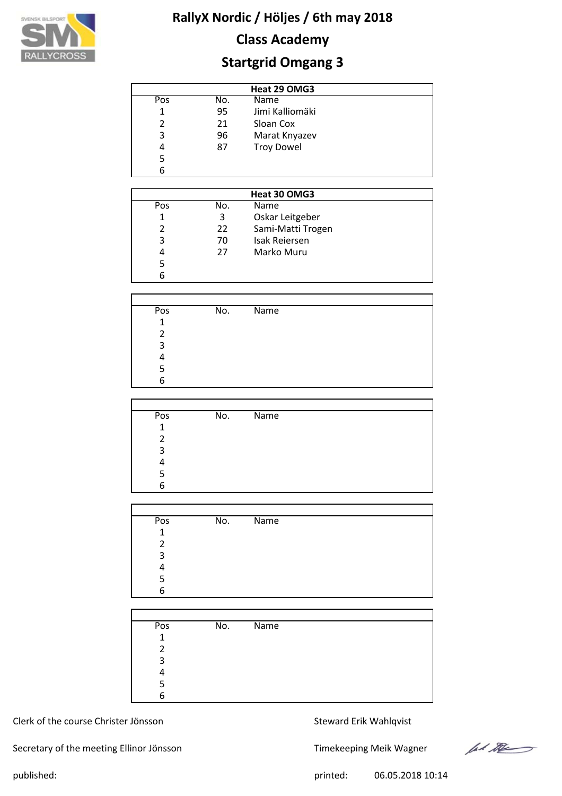

# **Class Academy**

# **Startgrid Omgang 3**

| Heat 29 OMG3   |     |                   |  |  |  |  |
|----------------|-----|-------------------|--|--|--|--|
| Pos            | No. | Name              |  |  |  |  |
| 1              | 95  | Jimi Kalliomäki   |  |  |  |  |
| $\mathfrak{p}$ | 21  | Sloan Cox         |  |  |  |  |
| 3              | 96  | Marat Knyazev     |  |  |  |  |
| 4              | 87  | <b>Troy Dowel</b> |  |  |  |  |
| 5              |     |                   |  |  |  |  |
| 6              |     |                   |  |  |  |  |

| Heat 30 OMG3  |     |                      |  |  |  |  |
|---------------|-----|----------------------|--|--|--|--|
| Pos           | No. | <b>Name</b>          |  |  |  |  |
| 1             | 3   | Oskar Leitgeber      |  |  |  |  |
| $\mathcal{P}$ | 22  | Sami-Matti Trogen    |  |  |  |  |
| 3             | 70  | <b>Isak Reiersen</b> |  |  |  |  |
| 4             | 27  | Marko Muru           |  |  |  |  |
| 5             |     |                      |  |  |  |  |
| 6             |     |                      |  |  |  |  |

| Pos            | No. | <b>Name</b> |  |  |
|----------------|-----|-------------|--|--|
| $\overline{1}$ |     |             |  |  |
|                |     |             |  |  |
| 3              |     |             |  |  |
|                |     |             |  |  |
|                |     |             |  |  |
|                |     |             |  |  |

| Pos | No. | Name |
|-----|-----|------|
| 1   |     |      |
| 2   |     |      |
| 3   |     |      |
|     |     |      |
| 5   |     |      |
| 6   |     |      |

| Pos          | No. | Name |
|--------------|-----|------|
| $\mathbf{1}$ |     |      |
| 2            |     |      |
| 3            |     |      |
| 4            |     |      |
| 5            |     |      |
| 6            |     |      |
|              |     |      |

| Pos          | No. | $\overline{\mathsf{Name}}$ |  |
|--------------|-----|----------------------------|--|
| $\mathbf{1}$ |     |                            |  |
| 2            |     |                            |  |
| 3            |     |                            |  |
|              |     |                            |  |
|              |     |                            |  |
| 6            |     |                            |  |

#### Clerk of the course Christer Jönsson Steward Erik Wahlqvist

Secretary of the meeting Ellinor Jönsson Timekeeping Meik Wagner

let the

published: 06.05.2018 10:14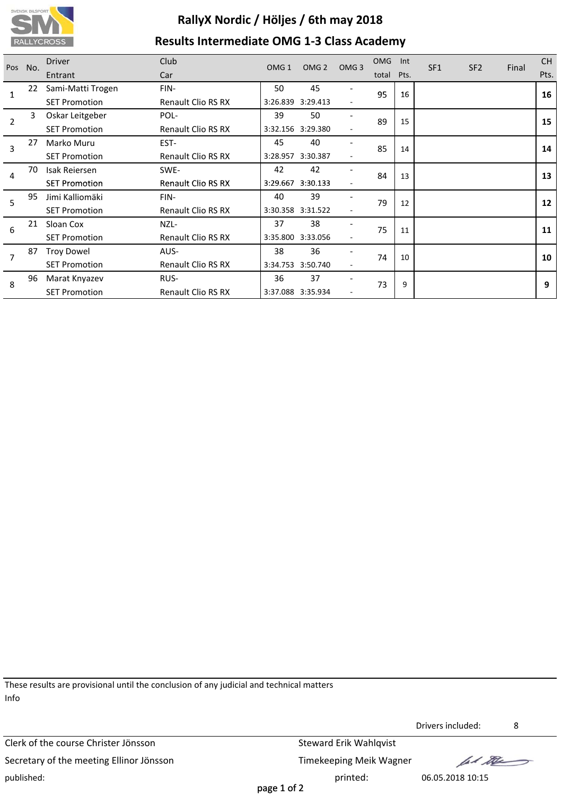

# **RallyX Nordic / Höljes / 6th may 2018 Results Intermediate OMG 1‐3 Class Academy**

| Pos            | No.                  | <b>Driver</b>        | Club                      | OMG <sub>1</sub>  | OMG <sub>2</sub>  | OMG <sub>3</sub> | <b>OMG</b> | Int  | SF <sub>1</sub> | SF <sub>2</sub> | Final | <b>CH</b> |
|----------------|----------------------|----------------------|---------------------------|-------------------|-------------------|------------------|------------|------|-----------------|-----------------|-------|-----------|
|                |                      | Entrant              | Car                       |                   |                   |                  | total      | Pts. |                 |                 |       | Pts.      |
|                | 22                   | Sami-Matti Trogen    | FIN-                      | 50                | 45                |                  | 95         | 16   |                 |                 |       | 16        |
|                | <b>SET Promotion</b> | Renault Clio RS RX   |                           | 3:26.839 3:29.413 |                   |                  |            |      |                 |                 |       |           |
| $\overline{2}$ | 3                    | Oskar Leitgeber      | POL-                      | 39                | 50                |                  | 89         | 15   |                 |                 |       | 15        |
|                | <b>SET Promotion</b> | Renault Clio RS RX   |                           | 3:32.156 3:29.380 |                   |                  |            |      |                 |                 |       |           |
|                | 27<br>3              | Marko Muru           | EST-                      | 45                | 40                |                  | 85         | 14   |                 |                 |       | 14        |
|                |                      | <b>SET Promotion</b> | Renault Clio RS RX        |                   | 3:28.957 3:30.387 |                  |            |      |                 |                 |       |           |
| 70<br>4        | Isak Reiersen        | SWE-                 | 42                        | 42                |                   | 84<br>13         |            |      |                 |                 | 13    |           |
|                |                      | <b>SET Promotion</b> | <b>Renault Clio RS RX</b> |                   | 3:29.667 3:30.133 |                  |            |      |                 |                 |       |           |
| 5              | 95                   | Jimi Kalliomäki      | FIN-                      | 40                | 39                |                  | 79         | 12   |                 |                 |       | 12        |
|                |                      | <b>SET Promotion</b> | Renault Clio RS RX        |                   | 3:30.358 3:31.522 |                  |            |      |                 |                 |       |           |
| 6              | 21                   | Sloan Cox            | NZL-                      | 37                | 38                |                  | 75         | 11   |                 |                 |       | 11        |
|                |                      | <b>SET Promotion</b> | <b>Renault Clio RS RX</b> |                   | 3:35.800 3:33.056 |                  |            |      |                 |                 |       |           |
|                | 87                   | <b>Troy Dowel</b>    | AUS-                      | 38                | 36                |                  | 74         | 10   |                 |                 |       | 10        |
| 7              | <b>SET Promotion</b> | Renault Clio RS RX   | 3:34.753                  | 3:50.740          |                   |                  |            |      |                 |                 |       |           |
| 8              | 96                   | Marat Knyazev        | RUS-                      | 36                | 37                |                  | 73         | 9    |                 |                 |       | 9         |
|                |                      | <b>SET Promotion</b> | <b>Renault Clio RS RX</b> |                   | 3:37.088 3:35.934 |                  |            |      |                 |                 |       |           |

These results are provisional until the conclusion of any judicial and technical matters Info

Clerk of the course Christer Jönsson Steward Erik Wahlqvist Secretary of the meeting Ellinor Jönsson Timekeeping Meik Wagner published: printed: 06.05.2018 10:15

Drivers included: 8

let the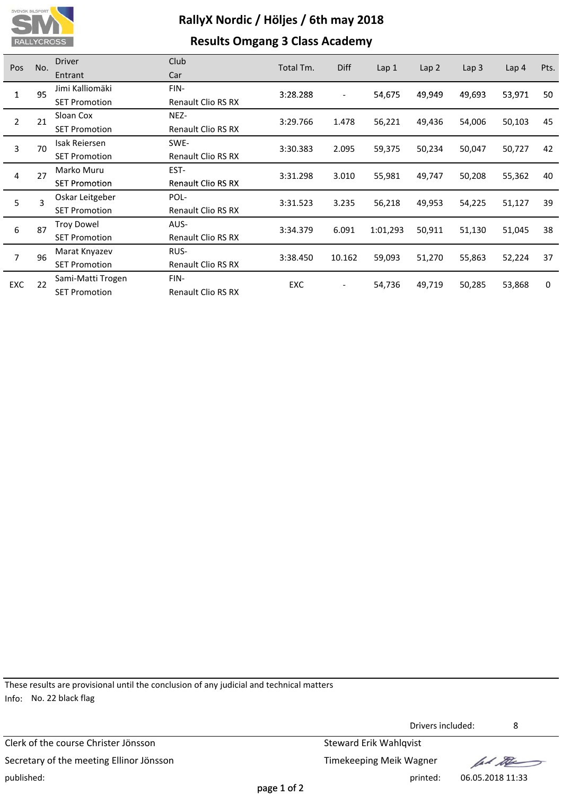

## **Results Omgang 3 Class Academy**

| Pos            | No.              | <b>Driver</b>        | Club                      | Total Tm. | <b>Diff</b>              |                  |                  |                  |                  | Pts. |
|----------------|------------------|----------------------|---------------------------|-----------|--------------------------|------------------|------------------|------------------|------------------|------|
|                |                  | Entrant              | Car                       |           |                          | Lap <sub>1</sub> | Lap <sub>2</sub> | Lap <sub>3</sub> | Lap <sub>4</sub> |      |
| 1              | 95               | Jimi Kalliomäki      | FIN-                      | 3:28.288  | $\overline{\phantom{a}}$ | 54,675           | 49,949           | 49,693           | 53,971           | 50   |
|                |                  | <b>SET Promotion</b> | Renault Clio RS RX        |           |                          |                  |                  |                  |                  |      |
| $\overline{2}$ | 21               | Sloan Cox            | NEZ-                      | 3:29.766  | 1.478                    | 56,221           | 49,436           | 54,006           | 50,103           | 45   |
|                |                  | <b>SET Promotion</b> | Renault Clio RS RX        |           |                          |                  |                  |                  |                  |      |
| 3              | 70               | Isak Reiersen        | SWE-                      | 3:30.383  | 2.095                    | 59,375           | 50,234           | 50,047           | 50,727           | 42   |
|                |                  | <b>SET Promotion</b> | <b>Renault Clio RS RX</b> |           |                          |                  |                  |                  |                  |      |
|                | 27<br>4          | Marko Muru           | EST-                      | 3:31.298  | 3.010                    | 55,981           | 49,747           | 50,208           | 55,362           | 40   |
|                |                  | <b>SET Promotion</b> | <b>Renault Clio RS RX</b> |           |                          |                  |                  |                  |                  |      |
| 5              | 3                | Oskar Leitgeber      | POL-                      | 3:31.523  | 3.235                    | 56,218           | 49,953           | 54,225           | 51,127           | 39   |
|                |                  | <b>SET Promotion</b> | Renault Clio RS RX        |           |                          |                  |                  |                  |                  |      |
| 6              | 87               | <b>Troy Dowel</b>    | AUS-                      | 3:34.379  | 6.091                    | 1:01,293         | 50,911           | 51,130           | 51,045           | 38   |
|                |                  | <b>SET Promotion</b> | <b>Renault Clio RS RX</b> |           |                          |                  |                  |                  |                  |      |
| $\overline{7}$ | 96               | Marat Knyazev        | RUS-                      | 3:38.450  | 10.162                   | 59,093           | 51,270           | 55,863           |                  | 37   |
|                |                  | <b>SET Promotion</b> | <b>Renault Clio RS RX</b> |           |                          |                  |                  |                  | 52,224           |      |
|                | <b>EXC</b><br>22 | Sami-Matti Trogen    | FIN-                      | EXC       |                          | 54,736           | 49,719           | 50,285           |                  | 0    |
|                |                  | <b>SET Promotion</b> | <b>Renault Clio RS RX</b> |           |                          |                  |                  |                  | 53,868           |      |

These results are provisional until the conclusion of any judicial and technical matters Info: No. 22 black flag

Clerk of the course Christer Jönsson Steward Erik Wahlqvist Secretary of the meeting Ellinor Jönsson Secretary of the meeting Ellinor Jönsson published: printed: 06.05.2018 11:33

Drivers included: 8

lad the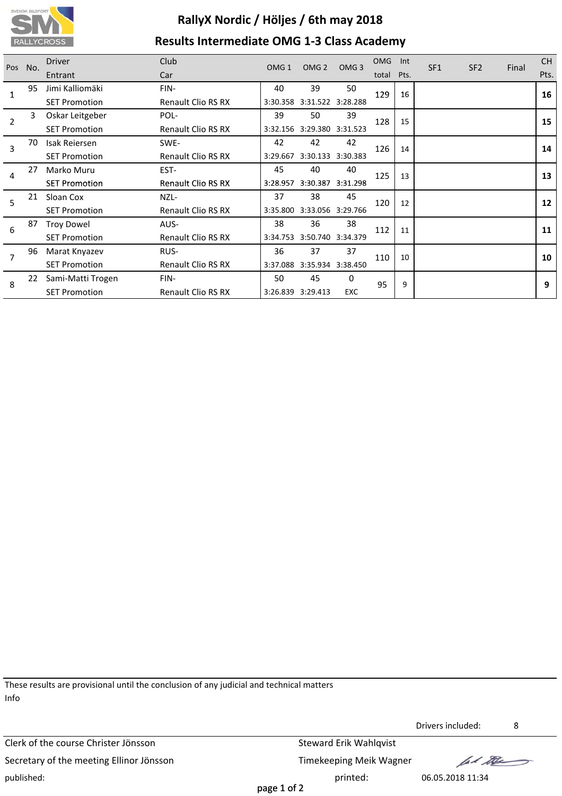

# **RallyX Nordic / Höljes / 6th may 2018 Results Intermediate OMG 1‐3 Class Academy**

| Pos | No. | <b>Driver</b>        | <b>Club</b>               | OMG <sub>1</sub> | OMG <sub>2</sub>           | OMG <sub>3</sub>  | <b>OMG</b> | Int  | SF <sub>1</sub> | SF <sub>2</sub> |       | <b>CH</b> |
|-----|-----|----------------------|---------------------------|------------------|----------------------------|-------------------|------------|------|-----------------|-----------------|-------|-----------|
|     |     | Entrant              | Car                       |                  |                            |                   | total      | Pts. |                 |                 | Final | Pts.      |
| 1   | 95  | Jimi Kalliomäki      | FIN-                      | 40               | 39                         | 50                | 129        | 16   |                 |                 |       | 16        |
|     |     | <b>SET Promotion</b> | Renault Clio RS RX        | 3:30.358         | 3:31.522 3:28.288          |                   |            |      |                 |                 |       |           |
| 2   | 3   | Oskar Leitgeber      | POL-                      | 39               | 50                         | 39                | 128        | 15   |                 |                 |       | 15        |
|     |     | <b>SET Promotion</b> | Renault Clio RS RX        | 3:32.156         |                            | 3:29.380 3:31.523 |            |      |                 |                 |       |           |
| 3   | 70  | Isak Reiersen        | SWE-                      | 42               | 42                         | 42                | 126        | 14   |                 |                 |       | 14        |
|     | 27  | <b>SET Promotion</b> | <b>Renault Clio RS RX</b> | 3:29.667         |                            | 3:30.133 3:30.383 |            |      |                 |                 |       |           |
|     |     | Marko Muru           | EST-                      | 45               | 40                         | 40                | 125        | 13   |                 |                 |       | 13        |
|     | 4   | <b>SET Promotion</b> | <b>Renault Clio RS RX</b> | 3:28.957         |                            | 3:30.387 3:31.298 |            |      |                 |                 |       |           |
| 5   | 21  | Sloan Cox            | NZL-                      | 37               | 38                         | 45                | 120        | 12   |                 |                 |       | 12        |
|     |     | <b>SET Promotion</b> | <b>Renault Clio RS RX</b> | 3:35.800         | 3:33.056 3:29.766          |                   |            |      |                 |                 |       |           |
| 6   | 87  | <b>Troy Dowel</b>    | AUS-                      | 38               | 36                         | 38                | 112        | 11   |                 |                 |       | 11        |
|     |     | <b>SET Promotion</b> | <b>Renault Clio RS RX</b> | 3:34.753         |                            | 3:50.740 3:34.379 |            |      |                 |                 |       |           |
| 7   | 96  | Marat Knyazev        | RUS-                      | 36               | 37                         | 37                | 110        | 10   |                 |                 |       | 10        |
|     |     | <b>SET Promotion</b> | <b>Renault Clio RS RX</b> |                  | 3:37.088 3:35.934 3:38.450 |                   |            |      |                 |                 |       |           |
| 8   | 22  | Sami-Matti Trogen    | FIN-                      | 50               | 45                         | $\Omega$          | 95         | 9    |                 |                 |       | 9         |
|     |     | <b>SET Promotion</b> | Renault Clio RS RX        |                  | 3:26.839 3:29.413          | <b>EXC</b>        |            |      |                 |                 |       |           |

These results are provisional until the conclusion of any judicial and technical matters Info

Clerk of the course Christer Jönsson Steward Erik Wahlqvist Secretary of the meeting Ellinor Jönsson Timekeeping Meik Wagner published: printed: 06.05.2018 11:34

Drivers included: 8

fall the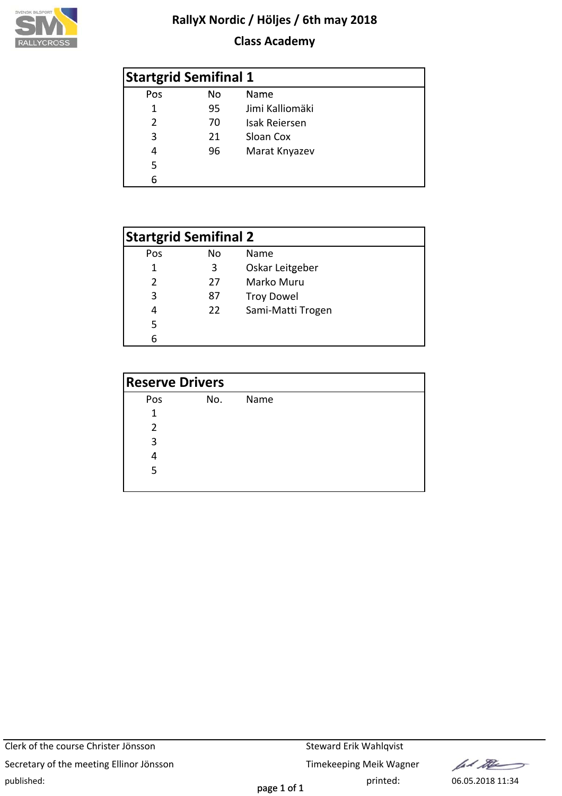

## **Class Academy**

| <b>Startgrid Semifinal 1</b> |    |                      |  |  |  |  |  |
|------------------------------|----|----------------------|--|--|--|--|--|
| Pos                          | No | Name                 |  |  |  |  |  |
| 1                            | 95 | Jimi Kalliomäki      |  |  |  |  |  |
| $\mathcal{P}$                | 70 | <b>Isak Reiersen</b> |  |  |  |  |  |
| 3                            | 21 | Sloan Cox            |  |  |  |  |  |
| 4                            | 96 | Marat Knyazev        |  |  |  |  |  |
| 5                            |    |                      |  |  |  |  |  |
| 6                            |    |                      |  |  |  |  |  |

| <b>Startgrid Semifinal 2</b> |    |                   |  |  |  |  |  |
|------------------------------|----|-------------------|--|--|--|--|--|
| Pos                          | No | <b>Name</b>       |  |  |  |  |  |
| 1                            | 3  | Oskar Leitgeber   |  |  |  |  |  |
| $\mathcal{P}$                | 27 | Marko Muru        |  |  |  |  |  |
| 3                            | 87 | <b>Troy Dowel</b> |  |  |  |  |  |
| 4                            | 22 | Sami-Matti Trogen |  |  |  |  |  |
| 5                            |    |                   |  |  |  |  |  |
| հ                            |    |                   |  |  |  |  |  |

| <b>Reserve Drivers</b> |     |      |  |  |  |  |  |
|------------------------|-----|------|--|--|--|--|--|
| Pos                    | No. | Name |  |  |  |  |  |
| 1                      |     |      |  |  |  |  |  |
| 2                      |     |      |  |  |  |  |  |
| 3                      |     |      |  |  |  |  |  |
|                        |     |      |  |  |  |  |  |
| 5                      |     |      |  |  |  |  |  |
|                        |     |      |  |  |  |  |  |

Clerk of the course Christer Jönsson Steward Erik Wahlqvist Secretary of the meeting Ellinor Jönsson Timekeeping Meik Wagner published: printed: 06.05.2018 11:34

lad the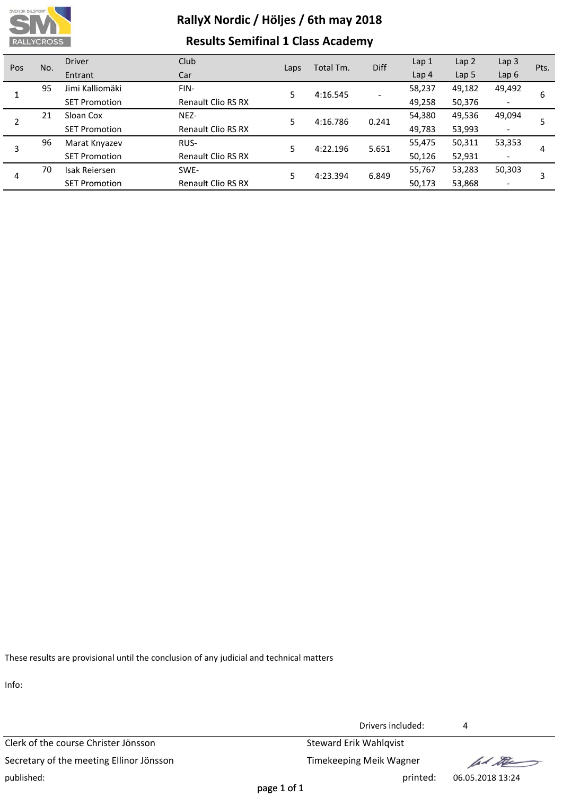

# **RallyX Nordic / Höljes / 6th may 2018 Results Semifinal 1 Class Academy**

| Pos | No.                  | <b>Driver</b>             | Club                      |      | Total Tm. | <b>Diff</b> | Lap <sub>1</sub> | Lap <sub>2</sub>         | Lap <sub>3</sub>         | Pts. |
|-----|----------------------|---------------------------|---------------------------|------|-----------|-------------|------------------|--------------------------|--------------------------|------|
|     |                      | Entrant                   | Car                       | Laps |           |             | Lap <sub>4</sub> | Lap 5                    | Lap6                     |      |
|     | 95                   | Jimi Kalliomäki           | FIN-                      | 5    | 4:16.545  |             | 58,237           | 49,182                   | 49,492                   | 6    |
|     | <b>SET Promotion</b> | <b>Renault Clio RS RX</b> |                           |      |           | 49,258      | 50,376           | $\overline{\phantom{a}}$ |                          |      |
| 2   | 21                   | Sloan Cox                 | NEZ-                      | 5    | 4:16.786  | 0.241       | 54,380           | 49,536                   | 49,094                   |      |
|     |                      | <b>SET Promotion</b>      | Renault Clio RS RX        |      |           |             | 49,783           | 53,993                   | $\overline{\phantom{a}}$ |      |
| 3   | 96                   | Marat Knyazev             | RUS-                      | 5    | 4:22.196  | 5.651       | 55,475           | 50,311                   | 53,353                   | 4    |
|     |                      | <b>SET Promotion</b>      | <b>Renault Clio RS RX</b> |      |           |             | 50,126           | 52,931                   | $\overline{\phantom{a}}$ |      |
|     | 70                   | <b>Isak Reiersen</b>      | SWE-                      | 5    | 4:23.394  | 6.849       | 55,767           | 53,283                   | 50,303                   |      |
| 4   |                      | <b>SET Promotion</b>      | <b>Renault Clio RS RX</b> |      |           |             | 50,173           | 53,868                   | $\overline{\phantom{a}}$ |      |

These results are provisional until the conclusion of any judicial and technical matters

Info:

Clerk of the course Christer Jönsson Steward Erik Wahlqvist Secretary of the meeting Ellinor Jönsson Timekeeping Meik Wagner published: printed: 06.05.2018 13:24

Drivers included: 4

fel the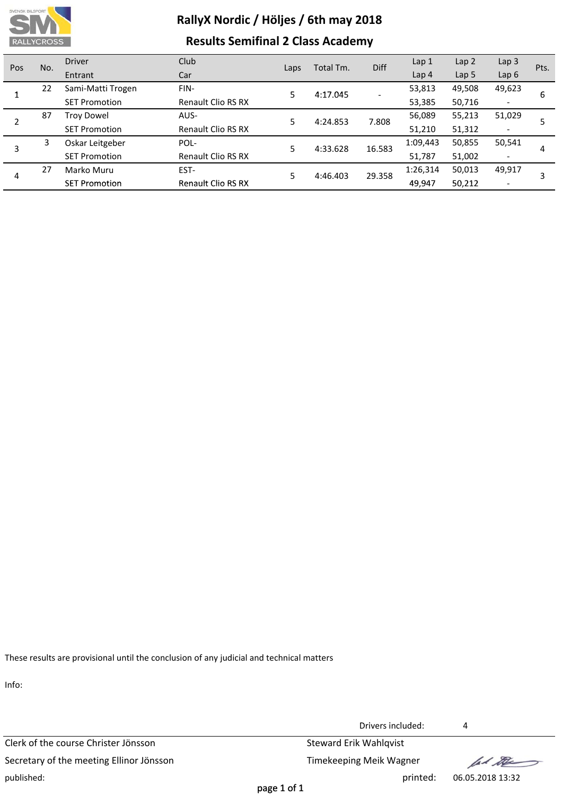

# **RallyX Nordic / Höljes / 6th may 2018 Results Semifinal 2 Class Academy**

| Pos     | No.                  | <b>Driver</b>             | Club                      |          | Total Tm. | Diff     | Lap <sub>1</sub> | Lap <sub>2</sub>         | Lap $3$                  | Pts. |
|---------|----------------------|---------------------------|---------------------------|----------|-----------|----------|------------------|--------------------------|--------------------------|------|
|         |                      | Entrant                   | Car                       | Laps     |           |          | Lap <sub>4</sub> | Lap 5                    | Lap6                     |      |
|         | 22                   | Sami-Matti Trogen         | FIN-                      | 5        | 4:17.045  |          | 53,813           | 49,508                   | 49,623                   | 6    |
|         | <b>SET Promotion</b> | <b>Renault Clio RS RX</b> |                           |          |           | 53,385   | 50,716           | $\overline{\phantom{a}}$ |                          |      |
| 87      | <b>Troy Dowel</b>    | AUS-                      | 5                         | 4:24.853 | 7.808     | 56,089   | 55,213           | 51,029                   |                          |      |
|         |                      | <b>SET Promotion</b>      | <b>Renault Clio RS RX</b> |          |           |          | 51,210           | 51,312                   | $\overline{\phantom{a}}$ |      |
| 3       | 3                    | Oskar Leitgeber           | POL-                      | 5        | 4:33.628  | 16.583   | 1:09,443         | 50,855                   | 50,541                   | 4    |
|         |                      | <b>SET Promotion</b>      | <b>Renault Clio RS RX</b> |          |           |          | 51,787           | 51,002                   | $\overline{\phantom{a}}$ |      |
| 27<br>4 | Marko Muru           | EST-                      | 5                         | 4:46.403 |           | 1:26,314 | 50,013           | 49,917                   |                          |      |
|         |                      | <b>SET Promotion</b>      | <b>Renault Clio RS RX</b> |          |           | 29.358   | 49,947           | 50,212                   | $\overline{\phantom{a}}$ |      |

These results are provisional until the conclusion of any judicial and technical matters

Info:

Clerk of the course Christer Jönsson Steward Erik Wahlqvist Secretary of the meeting Ellinor Jönsson Timekeeping Meik Wagner published: printed: 06.05.2018 13:32

Drivers included: 4

fel the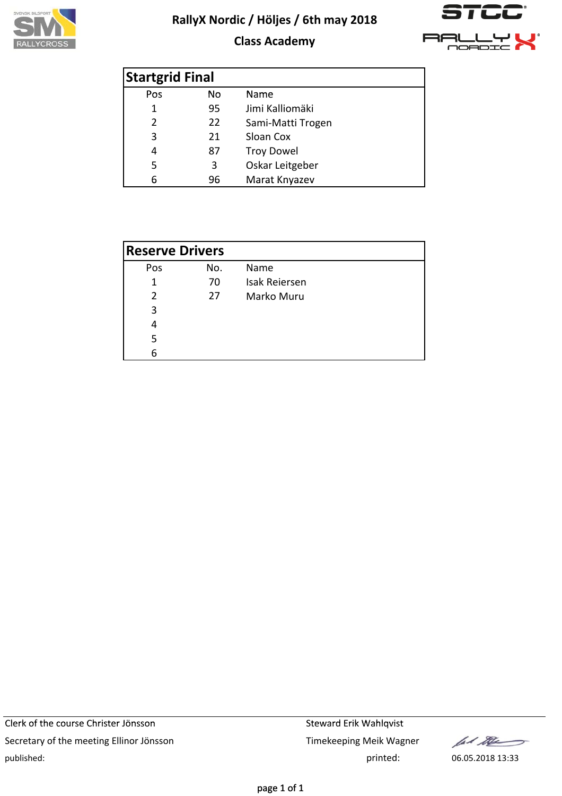

## **Class Academy**



| <b>Startgrid Final</b> |    |                   |  |  |  |  |
|------------------------|----|-------------------|--|--|--|--|
| Pos                    | No | Name              |  |  |  |  |
| 1                      | 95 | Jimi Kalliomäki   |  |  |  |  |
| 2                      | 22 | Sami-Matti Trogen |  |  |  |  |
| 3                      | 21 | Sloan Cox         |  |  |  |  |
| 4                      | 87 | <b>Troy Dowel</b> |  |  |  |  |
| 5                      | 3  | Oskar Leitgeber   |  |  |  |  |
| 6                      | 96 | Marat Knyazev     |  |  |  |  |

| <b>Reserve Drivers</b> |     |                      |  |  |  |  |
|------------------------|-----|----------------------|--|--|--|--|
| Pos                    | No. | Name                 |  |  |  |  |
| 1                      | 70  | <b>Isak Reiersen</b> |  |  |  |  |
| $\mathcal{P}$          | 27  | Marko Muru           |  |  |  |  |
| 3                      |     |                      |  |  |  |  |
| 4                      |     |                      |  |  |  |  |
| 5                      |     |                      |  |  |  |  |
| 6                      |     |                      |  |  |  |  |

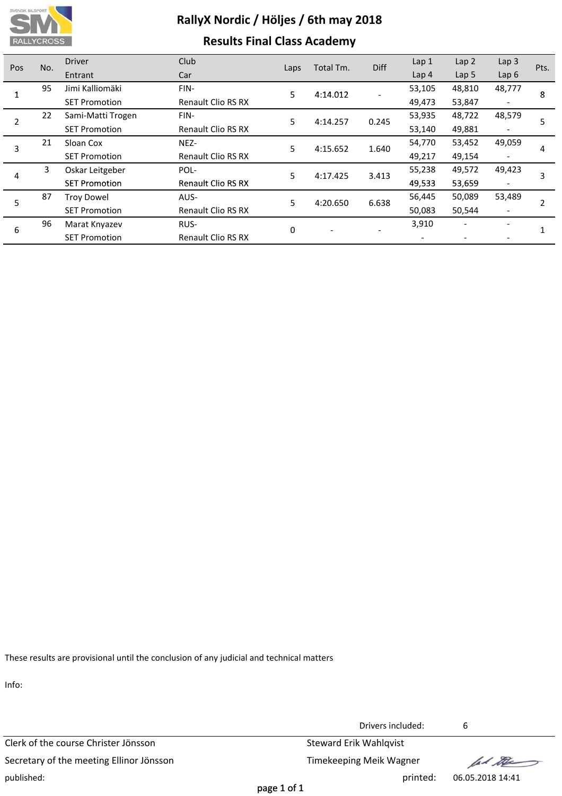

## **Results Final Class Academy**

| Pos | No.               | <b>Driver</b>        | Club                      | Laps     | Total Tm. | <b>Diff</b> | Lap 1            | Lap <sub>2</sub> | Lap <sub>3</sub> | Pts. |
|-----|-------------------|----------------------|---------------------------|----------|-----------|-------------|------------------|------------------|------------------|------|
|     |                   | Entrant              | Car                       |          |           |             | Lap <sub>4</sub> | Lap <sub>5</sub> | Lap6             |      |
|     | 95                | Jimi Kalliomäki      | FIN-                      | 5        | 4:14.012  |             | 53,105           | 48,810           | 48,777           | 8    |
|     |                   | <b>SET Promotion</b> | <b>Renault Clio RS RX</b> |          |           |             | 49,473           | 53,847           |                  |      |
|     | $22 \overline{ }$ | Sami-Matti Trogen    | FIN-                      | 5        | 4:14.257  | 0.245       | 53,935           | 48,722           | 48,579           | 5    |
|     |                   | <b>SET Promotion</b> | <b>Renault Clio RS RX</b> |          |           |             | 53,140           | 49,881           |                  |      |
| 3   | 21                | Sloan Cox            | NEZ-                      | 5        | 4:15.652  | 1.640       | 54,770           | 53,452           | 49,059           | 4    |
|     |                   | <b>SET Promotion</b> | <b>Renault Clio RS RX</b> |          |           |             | 49,217           | 49,154           |                  |      |
| 4   | 3.                | Oskar Leitgeber      | POL-                      | 5        | 4:17.425  | 3.413       | 55,238           | 49,572           | 49,423           | 3    |
|     |                   | <b>SET Promotion</b> | <b>Renault Clio RS RX</b> |          |           |             | 49,533           | 53,659           |                  |      |
| 5   | 87                | <b>Troy Dowel</b>    | AUS-                      | 5        | 4:20.650  | 6.638       | 56,445           | 50,089           | 53,489           |      |
|     |                   | <b>SET Promotion</b> | <b>Renault Clio RS RX</b> |          |           |             | 50,083           | 50,544           |                  |      |
| 6   | 96                | Marat Knyazev        | RUS-                      | $\Omega$ |           |             | 3,910            |                  |                  |      |
|     |                   | <b>SET Promotion</b> | <b>Renault Clio RS RX</b> |          |           |             |                  |                  |                  |      |

These results are provisional until the conclusion of any judicial and technical matters

Info:

Clerk of the course Christer Jönsson Steward Erik Wahlqvist Secretary of the meeting Ellinor Jönsson Timekeeping Meik Wagner published: printed: 06.05.2018 14:41

Drivers included: 6

fal the